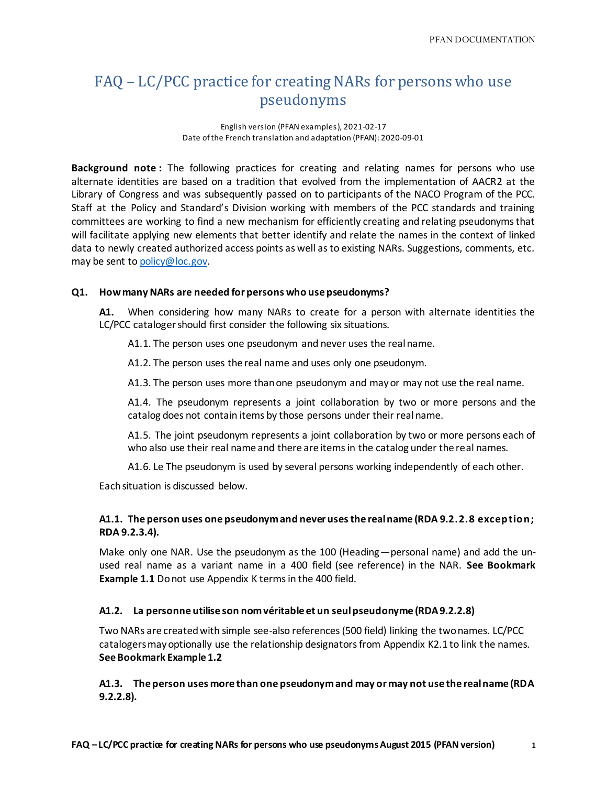# FAQ – LC/PCC practice for creating NARs for persons who use pseudonyms

English version (PFAN examples), 2021-02-17 Date of the French translation and adaptation (PFAN): 2020-09-01

**Background note :** The following practices for creating and relating names for persons who use alternate identities are based on a tradition that evolved from the implementation of AACR2 at the Library of Congress and was subsequently passed on to participants of the NACO Program of the PCC. Staff at the Policy and Standard's Division working with members of the PCC standards and training committees are working to find a new mechanism for efficiently creating and relating pseudonyms that will facilitate applying new elements that better identify and relate the names in the context of linked data to newly created authorized access points as well as to existing NARs. Suggestions, comments, etc. may be sent to [policy@loc.gov.](mailto:policy@loc.gov)

## **Q1. How many NARs are needed for persons who use pseudonyms?**

**A1.** When considering how many NARs to create for a person with alternate identities the LC/PCC cataloger should first consider the following six situations.

A1.1. The person uses one pseudonym and never uses the real name.

A1.2. The person uses the real name and uses only one pseudonym.

A1.3. The person uses more than one pseudonym and may or may not use the real name.

A1.4. The pseudonym represents a joint collaboration by two or more persons and the catalog does not contain items by those persons under their real name.

A1.5. The joint pseudonym represents a joint collaboration by two or more persons each of who also use their real name and there are items in the catalog under the real names.

A1.6. Le The pseudonym is used by several persons working independently of each other.

Each situation is discussed below.

# **A1.1. The person uses one pseudonym and never uses the real name (RDA 9.2.2.8 exception; RDA 9.2.3.4).**

Make only one NAR. Use the pseudonym as the 100 (Heading—personal name) and add the unused real name as a variant name in a 400 field (see reference) in the NAR. **See Bookmark Example 1.1** Do not use Appendix K terms in the 400 field.

# **A1.2. La personne utilise son nom véritable et un seul pseudonyme (RDA 9.2.2.8)**

Two NARs are created with simple see-also references (500 field) linking the two names. LC/PCC catalogers may optionally use the relationship designators from Appendix K2.1 to link the names. **See Bookmark Example 1.2**

**A1.3. The person uses more than one pseudonym and may or may not use the real name (RDA 9.2.2.8).**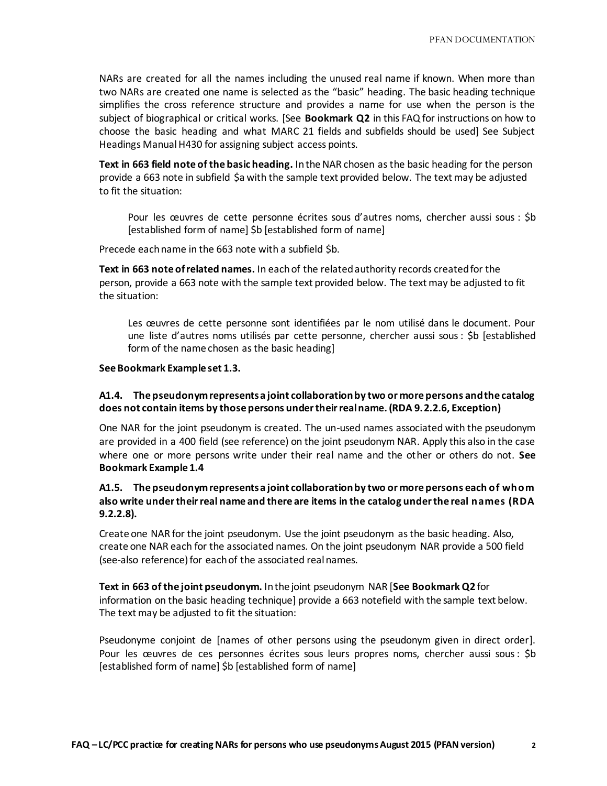NARs are created for all the names including the unused real name if known. When more than two NARs are created one name is selected as the "basic" heading. The basic heading technique simplifies the cross reference structure and provides a name for use when the person is the subject of biographical or critical works. [See **Bookmark Q2** in this FAQ for instructions on how to choose the basic heading and what MARC 21 fields and subfields should be used] See Subject Headings Manual H430 for assigning subject access points.

**Text in 663 field note of the basic heading.** In the NAR chosen as the basic heading for the person provide a 663 note in subfield \$a with the sample text provided below. The text may be adjusted to fit the situation:

Pour les œuvres de cette personne écrites sous d'autres noms, chercher aussi sous : \$b [established form of name] \$b [established form of name]

Precede each name in the 663 note with a subfield \$b.

**Text in 663 note of related names.** In each of the related authority records created for the person, provide a 663 note with the sample text provided below. The text may be adjusted to fit the situation:

Les œuvres de cette personne sont identifiées par le nom utilisé dans le document. Pour une liste d'autres noms utilisés par cette personne, chercher aussi sous : \$b [established form of the name chosen as the basic heading]

#### **See Bookmark Example set 1.3.**

## **A1.4. The pseudonym represents a joint collaboration by two or more persons and the catalog does not contain items by those persons under their real name. (RDA 9.2.2.6, Exception)**

One NAR for the joint pseudonym is created. The un-used names associated with the pseudonym are provided in a 400 field (see reference) on the joint pseudonym NAR. Apply this also in the case where one or more persons write under their real name and the other or others do not. **See Bookmark Example 1.4**

# **A1.5. The pseudonym represents a joint collaboration by two or more persons each of whom also write under their real name and there are items in the catalog under the real names (RDA 9.2.2.8).**

Create one NAR for the joint pseudonym. Use the joint pseudonym as the basic heading. Also, create one NAR each for the associated names. On the joint pseudonym NAR provide a 500 field (see-also reference) for each of the associated real names.

**Text in 663 of the joint pseudonym.** In the joint pseudonym NAR [**See Bookmark Q2** for information on the basic heading technique] provide a 663 notefield with the sample text below. The text may be adjusted to fit the situation:

Pseudonyme conjoint de [names of other persons using the pseudonym given in direct order]. Pour les œuvres de ces personnes écrites sous leurs propres noms, chercher aussi sous: \$b [established form of name] \$b [established form of name]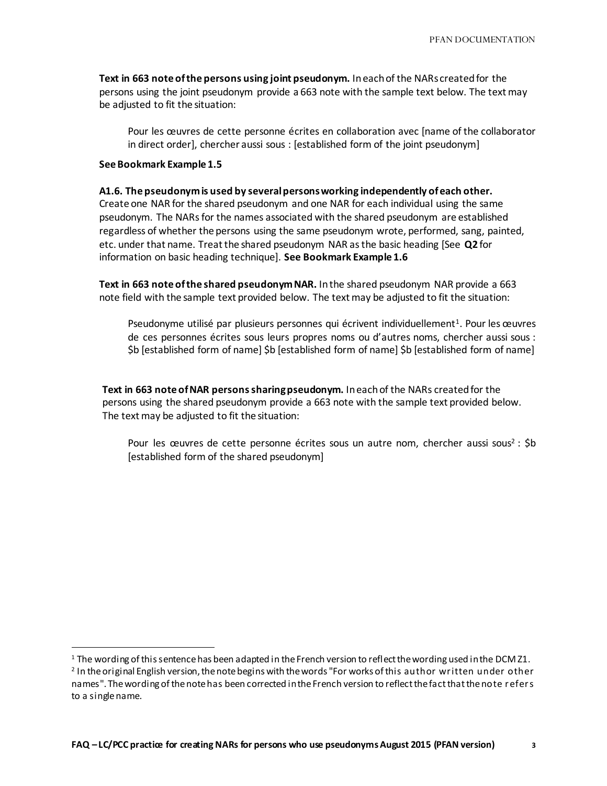**Text in 663 note of the persons using joint pseudonym.** In each of the NARs created for the persons using the joint pseudonym provide a 663 note with the sample text below. The text may be adjusted to fit the situation:

Pour les œuvres de cette personne écrites en collaboration avec [name of the collaborator in direct order], chercher aussi sous : [established form of the joint pseudonym]

#### **See Bookmark Example 1.5**

l

#### **A1.6. The pseudonym is used by several persons working independently of each other.**

Create one NAR for the shared pseudonym and one NAR for each individual using the same pseudonym. The NARs for the names associated with the shared pseudonym are established regardless of whether the persons using the same pseudonym wrote, performed, sang, painted, etc. under that name. Treat the shared pseudonym NAR as the basic heading [See **Q2** for information on basic heading technique]. **See Bookmark Example 1.6** 

**Text in 663 note of the shared pseudonym NAR.** In the shared pseudonym NAR provide a 663 note field with the sample text provided below. The text may be adjusted to fit the situation:

Pseudonyme utilisé par plusieurs personnes qui écrivent individuellement<sup>1</sup>. Pour les œuvres de ces personnes écrites sous leurs propres noms ou d'autres noms, chercher aussi sous : \$b [established form of name] \$b [established form of name] \$b [established form of name]

**Text in 663 note of NAR persons sharing pseudonym.** In each of the NARs created for the persons using the shared pseudonym provide a 663 note with the sample text provided below. The text may be adjusted to fit the situation:

Pour les œuvres de cette personne écrites sous un autre nom, chercher aussi sous<sup>2</sup> : \$b [established form of the shared pseudonym]

 $1$  The wording of this sentence has been adapted in the French version to reflect the wording used in the DCM 21.

<sup>2</sup> In the original English version, the note begins with the words "For works of this author written under other names". The wording of the note has been corrected in the French version to reflect the fact that the note refers to a single name.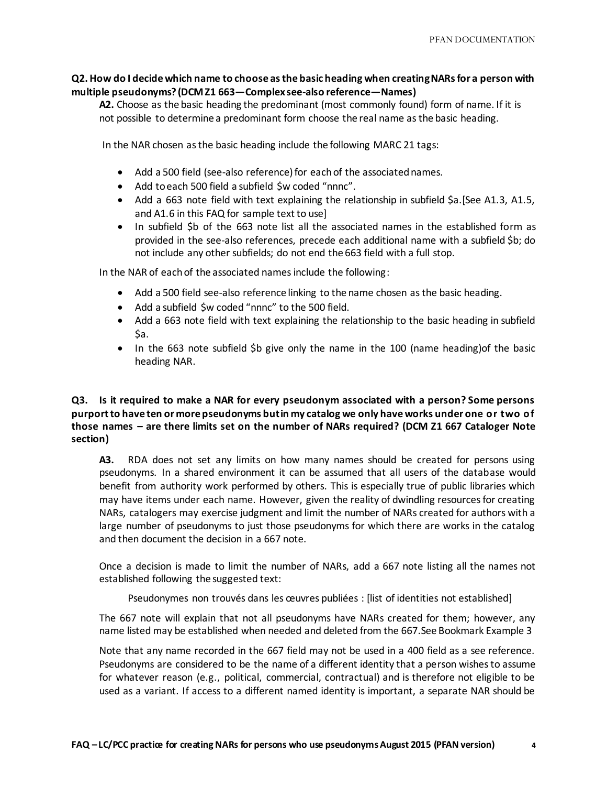# **Q2. How do I decide which name to choose as the basic heading when creating NARs for a person with multiple pseudonyms? (DCM Z1 663—Complex see-also reference—Names)**

**A2.** Choose as the basic heading the predominant (most commonly found) form of name. If it is not possible to determine a predominant form choose the real name as the basic heading.

In the NAR chosen as the basic heading include the following MARC 21 tags:

- Add a 500 field (see-also reference) for each of the associated names.
- Add to each 500 field a subfield \$w coded "nnnc".
- Add a 663 note field with text explaining the relationship in subfield \$a.[See A1.3, A1.5, and A1.6 in this FAQ for sample text to use]
- In subfield \$b of the 663 note list all the associated names in the established form as provided in the see-also references, precede each additional name with a subfield \$b; do not include any other subfields; do not end the 663 field with a full stop.

In the NAR of each of the associated names include the following:

- Add a 500 field see-also reference linking to the name chosen as the basic heading.
- Add a subfield \$w coded "nnnc" to the 500 field.
- Add a 663 note field with text explaining the relationship to the basic heading in subfield Sa.
- In the 663 note subfield \$b give only the name in the 100 (name heading) of the basic heading NAR.

# **Q3. Is it required to make a NAR for every pseudonym associated with a person? Some persons purport to have ten or more pseudonyms but in my catalog we only have works under one or two of those names – are there limits set on the number of NARs required? (DCM Z1 667 Cataloger Note section)**

**A3.** RDA does not set any limits on how many names should be created for persons using pseudonyms. In a shared environment it can be assumed that all users of the database would benefit from authority work performed by others. This is especially true of public libraries which may have items under each name. However, given the reality of dwindling resources for creating NARs, catalogers may exercise judgment and limit the number of NARs created for authors with a large number of pseudonyms to just those pseudonyms for which there are works in the catalog and then document the decision in a 667 note.

Once a decision is made to limit the number of NARs, add a 667 note listing all the names not established following the suggested text:

Pseudonymes non trouvés dans les œuvres publiées : [list of identities not established]

The 667 note will explain that not all pseudonyms have NARs created for them; however, any name listed may be established when needed and deleted from the 667.See Bookmark Example 3

Note that any name recorded in the 667 field may not be used in a 400 field as a see reference. Pseudonyms are considered to be the name of a different identity that a person wishes to assume for whatever reason (e.g., political, commercial, contractual) and is therefore not eligible to be used as a variant. If access to a different named identity is important, a separate NAR should be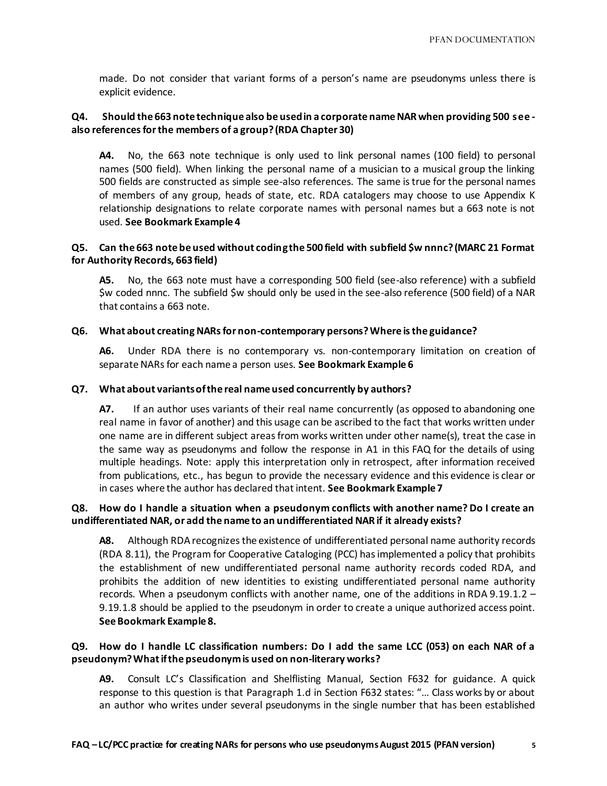made. Do not consider that variant forms of a person's name are pseudonyms unless there is explicit evidence.

# **Q4. Should the 663 note technique also be used in a corporate name NAR when providing 500 see also references for the members of a group? (RDA Chapter 30)**

**A4.** No, the 663 note technique is only used to link personal names (100 field) to personal names (500 field). When linking the personal name of a musician to a musical group the linking 500 fields are constructed as simple see-also references. The same is true for the personal names of members of any group, heads of state, etc. RDA catalogers may choose to use Appendix K relationship designations to relate corporate names with personal names but a 663 note is not used. **See Bookmark Example 4**

## **Q5. Can the 663 note be used without coding the 500 field with subfield \$w nnnc? (MARC 21 Format for Authority Records, 663 field)**

**A5.** No, the 663 note must have a corresponding 500 field (see-also reference) with a subfield \$w coded nnnc. The subfield \$w should only be used in the see-also reference (500 field) of a NAR that contains a 663 note.

# **Q6. What about creating NARs for non-contemporary persons? Where is the guidance?**

**A6.** Under RDA there is no contemporary vs. non-contemporary limitation on creation of separate NARs for each name a person uses. **See Bookmark Example 6**

## **Q7. What about variants of the real name used concurrently by authors?**

**A7.** If an author uses variants of their real name concurrently (as opposed to abandoning one real name in favor of another) and this usage can be ascribed to the fact that works written under one name are in different subject areas from works written under other name(s), treat the case in the same way as pseudonyms and follow the response in A1 in this FAQ for the details of using multiple headings. Note: apply this interpretation only in retrospect, after information received from publications, etc., has begun to provide the necessary evidence and this evidence is clear or in cases where the author has declared that intent. **See Bookmark Example 7**

# **Q8. How do I handle a situation when a pseudonym conflicts with another name? Do I create an undifferentiated NAR, or add the name to an undifferentiated NAR if it already exists?**

**A8.** Although RDA recognizes the existence of undifferentiated personal name authority records (RDA 8.11), the Program for Cooperative Cataloging (PCC) has implemented a policy that prohibits the establishment of new undifferentiated personal name authority records coded RDA, and prohibits the addition of new identities to existing undifferentiated personal name authority records. When a pseudonym conflicts with another name, one of the additions in RDA 9.19.1.2 – 9.19.1.8 should be applied to the pseudonym in order to create a unique authorized access point. **See Bookmark Example 8.**

# **Q9. How do I handle LC classification numbers: Do I add the same LCC (053) on each NAR of a pseudonym? What if the pseudonym is used on non-literary works?**

**A9.** Consult LC's Classification and Shelflisting Manual, Section F632 for guidance. A quick response to this question is that Paragraph 1.d in Section F632 states: "… Class works by or about an author who writes under several pseudonyms in the single number that has been established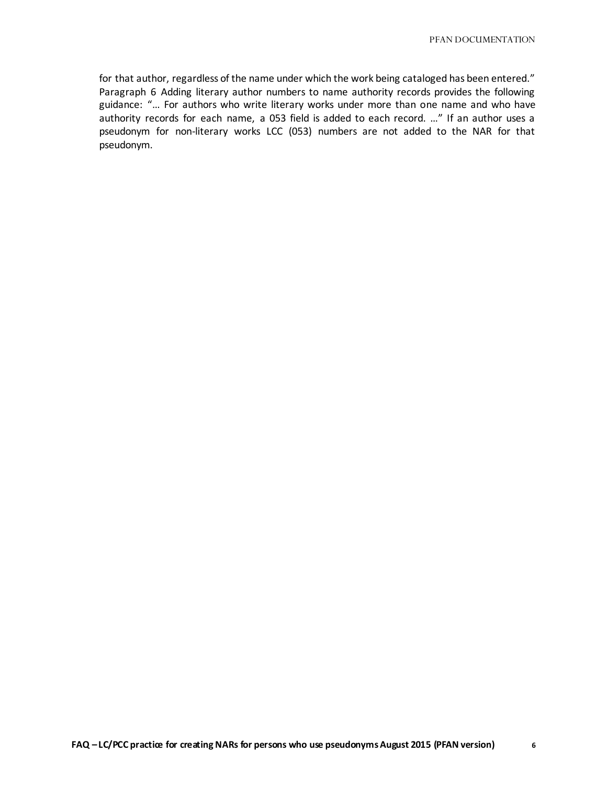for that author, regardless of the name under which the work being cataloged has been entered." Paragraph 6 Adding literary author numbers to name authority records provides the following guidance: "… For authors who write literary works under more than one name and who have authority records for each name, a 053 field is added to each record. …" If an author uses a pseudonym for non-literary works LCC (053) numbers are not added to the NAR for that pseudonym.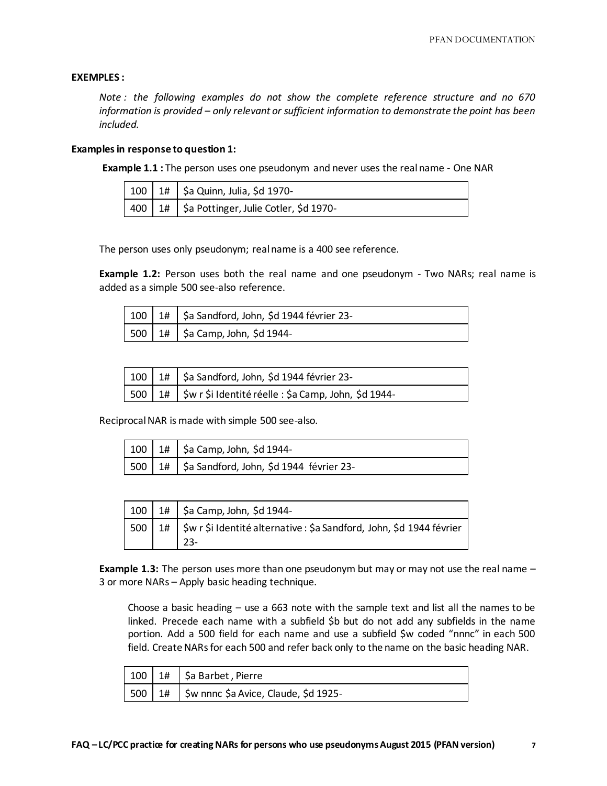#### **EXEMPLES :**

*Note : the following examples do not show the complete reference structure and no 670 information is provided – only relevant or sufficient information to demonstrate the point has been included.*

#### **Examples in response to question 1:**

**Example 1.1 :** The person uses one pseudonym and never uses the real name - One NAR

|  | 1 100   1#   \$a Quinn, Julia, \$d 1970-                  |
|--|-----------------------------------------------------------|
|  | $\vert$ 400   1#   \$a Pottinger, Julie Cotler, \$d 1970- |

The person uses only pseudonym; real name is a 400 see reference.

**Example 1.2:** Person uses both the real name and one pseudonym - Two NARs; real name is added as a simple 500 see-also reference.

|  | 100   1#   \$a Sandford, John, \$d 1944 février 23-      |
|--|----------------------------------------------------------|
|  | $\vert$ 500 $\vert$ 1# $\vert$ \$a Camp, John, \$d 1944- |

|  | $\vert$ 100 $\vert$ 1# $\vert$ \$a Sandford, John, \$d 1944 février 23-        |
|--|--------------------------------------------------------------------------------|
|  | $\sqrt{500}$ 1# $\sqrt{5}$ w r \$i Identité réelle : \$a Camp, John, \$d 1944- |

Reciprocal NAR is made with simple 500 see-also.

|  | $100$   1#   \$a Camp, John, \$d 1944-                          |
|--|-----------------------------------------------------------------|
|  | $\sqrt{500}$ 1# $\sqrt{5}$ Sandford, John, \$d 1944 février 23- |

|  | $100$   1#   \$a Camp, John, \$d 1944-                                                               |
|--|------------------------------------------------------------------------------------------------------|
|  | $\vert$ 500 $\vert$ 1# $\vert$ \$w r \$i Identité alternative : \$a Sandford, John, \$d 1944 février |

**Example 1.3:** The person uses more than one pseudonym but may or may not use the real name – 3 or more NARs – Apply basic heading technique.

Choose a basic heading  $-$  use a 663 note with the sample text and list all the names to be linked. Precede each name with a subfield \$b but do not add any subfields in the name portion. Add a 500 field for each name and use a subfield \$w coded "nnnc" in each 500 field. Create NARs for each 500 and refer back only to the name on the basic heading NAR.

|  | $100 \mid 1#$ \$a Barbet, Pierre                 |
|--|--------------------------------------------------|
|  | 500   1#   \$w nnnc \$a Avice, Claude, \$d 1925- |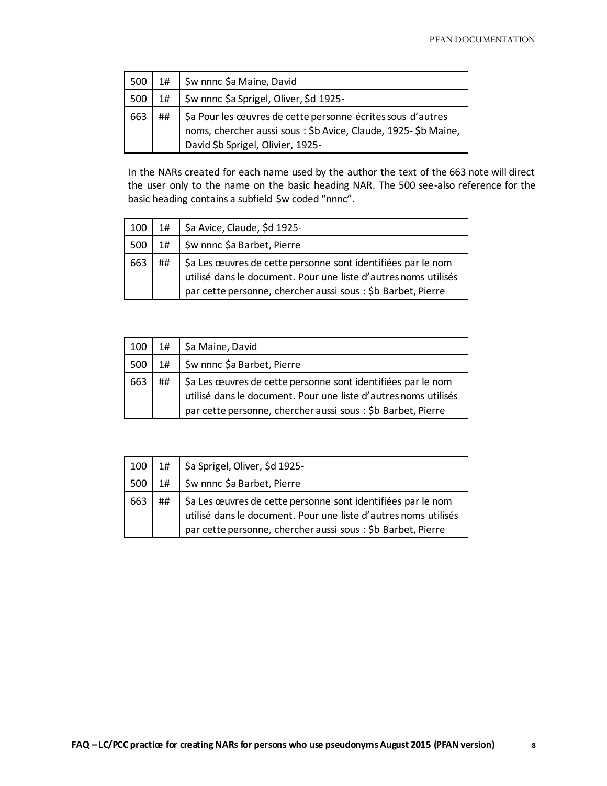| 500 | 1#    | \$w nnnc \$a Maine, David                                                                                                                                           |
|-----|-------|---------------------------------------------------------------------------------------------------------------------------------------------------------------------|
| 500 | $1\#$ | \$w nnnc \$a Sprigel, Oliver, \$d 1925-                                                                                                                             |
| 663 | ##    | \$a Pour les œuvres de cette personne écrites sous d'autres<br>noms, chercher aussi sous : \$b Avice, Claude, 1925- \$b Maine,<br>David \$b Sprigel, Olivier, 1925- |

In the NARs created for each name used by the author the text of the 663 note will direct the user only to the name on the basic heading NAR. The 500 see-also reference for the basic heading contains a subfield \$w coded "nnnc".

| 100 | $1\#$ | \$a Avice, Claude, \$d 1925-                                                                                                                                                                    |
|-----|-------|-------------------------------------------------------------------------------------------------------------------------------------------------------------------------------------------------|
| 500 | 1#    | \$w nnnc \$a Barbet, Pierre                                                                                                                                                                     |
| 663 | ##    | \$a Les œuvres de cette personne sont identifiées par le nom<br>utilisé dans le document. Pour une liste d'autres noms utilisés<br>par cette personne, chercher aussi sous : \$b Barbet, Pierre |

| 100 | $1\#$ | Sa Maine, David                                                                                                                                                                                 |
|-----|-------|-------------------------------------------------------------------------------------------------------------------------------------------------------------------------------------------------|
| 500 | 1#    | \$w nnnc \$a Barbet, Pierre                                                                                                                                                                     |
| 663 | ##    | \$a Les œuvres de cette personne sont identifiées par le nom<br>utilisé dans le document. Pour une liste d'autres noms utilisés<br>par cette personne, chercher aussi sous : \$b Barbet, Pierre |

| 100 | 1# | \$a Sprigel, Oliver, \$d 1925-                                                                                                                                                                  |
|-----|----|-------------------------------------------------------------------------------------------------------------------------------------------------------------------------------------------------|
| 500 | 1# | \$w nnnc \$a Barbet, Pierre                                                                                                                                                                     |
| 663 | ## | \$a Les œuvres de cette personne sont identifiées par le nom<br>utilisé dans le document. Pour une liste d'autres noms utilisés<br>par cette personne, chercher aussi sous : \$b Barbet, Pierre |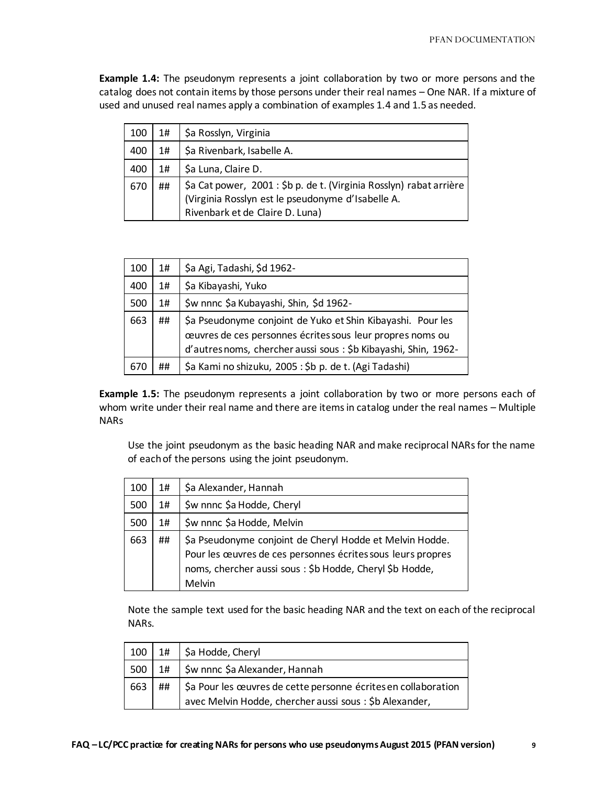**Example 1.4:** The pseudonym represents a joint collaboration by two or more persons and the catalog does not contain items by those persons under their real names – One NAR. If a mixture of used and unused real names apply a combination of examples 1.4 and 1.5 as needed.

| 100 | 1# | \$a Rosslyn, Virginia                                                                                                                                       |
|-----|----|-------------------------------------------------------------------------------------------------------------------------------------------------------------|
| 400 | 1# | \$a Rivenbark, Isabelle A.                                                                                                                                  |
| 400 | 1# | \$a Luna, Claire D.                                                                                                                                         |
| 670 | ## | \$a Cat power, 2001 : \$b p. de t. (Virginia Rosslyn) rabat arrière<br>(Virginia Rosslyn est le pseudonyme d'Isabelle A.<br>Rivenbark et de Claire D. Luna) |

| 100 | $1\#$ | \$a Agi, Tadashi, \$d 1962-                                                                                                                                                                 |
|-----|-------|---------------------------------------------------------------------------------------------------------------------------------------------------------------------------------------------|
| 400 | 1#    | \$a Kibayashi, Yuko                                                                                                                                                                         |
| 500 | 1#    | \$w nnnc \$a Kubayashi, Shin, \$d 1962-                                                                                                                                                     |
| 663 | ##    | \$a Pseudonyme conjoint de Yuko et Shin Kibayashi. Pour les<br>œuvres de ces personnes écrites sous leur propres noms ou<br>d'autres noms, chercher aussi sous : \$b Kibayashi, Shin, 1962- |
| 670 | ##    | \$a Kami no shizuku, 2005: \$b p. de t. (Agi Tadashi)                                                                                                                                       |

**Example 1.5:** The pseudonym represents a joint collaboration by two or more persons each of whom write under their real name and there are items in catalog under the real names – Multiple NARs

Use the joint pseudonym as the basic heading NAR and make reciprocal NARs for the name of each of the persons using the joint pseudonym.

| 100 | 1# | \$a Alexander, Hannah                                                                                                                                                                         |
|-----|----|-----------------------------------------------------------------------------------------------------------------------------------------------------------------------------------------------|
| 500 | 1# | \$w nnnc \$a Hodde, Cheryl                                                                                                                                                                    |
| 500 | 1# | \$w nnnc \$a Hodde, Melvin                                                                                                                                                                    |
| 663 | ## | \$a Pseudonyme conjoint de Cheryl Hodde et Melvin Hodde.<br>Pour les œuvres de ces personnes écrites sous leurs propres<br>noms, chercher aussi sous : \$b Hodde, Cheryl \$b Hodde,<br>Melvin |

Note the sample text used for the basic heading NAR and the text on each of the reciprocal NARs.

| 100 |    | 1# \$a Hodde, Cheryl                                                                                                     |
|-----|----|--------------------------------------------------------------------------------------------------------------------------|
| 500 | 1# | \$w nnnc \$a Alexander, Hannah                                                                                           |
| 663 | ## | \$a Pour les œuvres de cette personne écrites en collaboration<br>avec Melvin Hodde, chercher aussi sous: \$b Alexander, |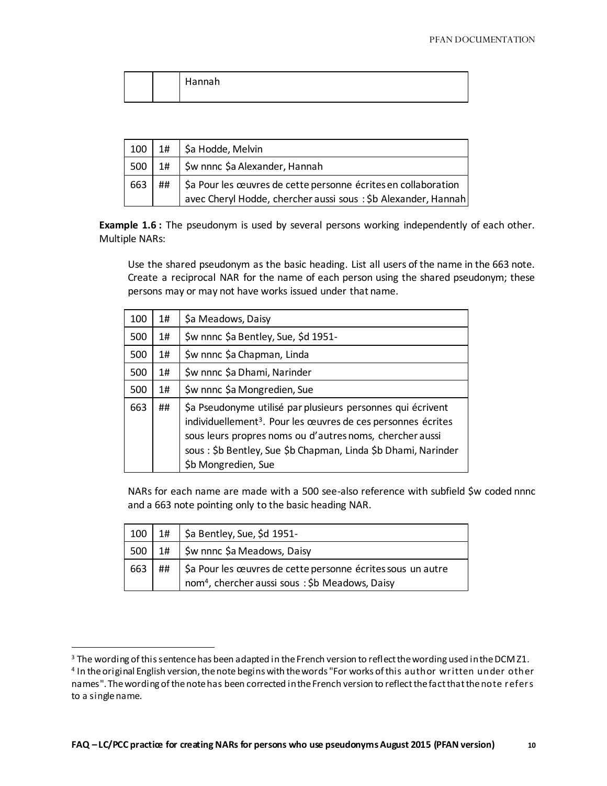|  | Hannah |
|--|--------|
|  |        |

|          |    | $100$   1#   \$a Hodde, Melvin                                 |
|----------|----|----------------------------------------------------------------|
| $500$ 1# |    | \$w nnnc \$a Alexander, Hannah                                 |
| 663      | ## | \$a Pour les œuvres de cette personne écrites en collaboration |
|          |    | avec Cheryl Hodde, chercher aussi sous: \$b Alexander, Hannah  |

**Example 1.6 :** The pseudonym is used by several persons working independently of each other. Multiple NARs:

Use the shared pseudonym as the basic heading. List all users of the name in the 663 note. Create a reciprocal NAR for the name of each person using the shared pseudonym; these persons may or may not have works issued under that name.

| 100 | 1#    | \$a Meadows, Daisy                                                                                                                                                                                                                                                                          |
|-----|-------|---------------------------------------------------------------------------------------------------------------------------------------------------------------------------------------------------------------------------------------------------------------------------------------------|
| 500 | 1#    | \$w nnnc \$a Bentley, Sue, \$d 1951-                                                                                                                                                                                                                                                        |
| 500 | $1\#$ | \$w nnnc \$a Chapman, Linda                                                                                                                                                                                                                                                                 |
| 500 | 1#    | \$w nnnc \$a Dhami, Narinder                                                                                                                                                                                                                                                                |
| 500 | 1#    | \$w nnnc \$a Mongredien, Sue                                                                                                                                                                                                                                                                |
| 663 | ##    | \$a Pseudonyme utilisé par plusieurs personnes qui écrivent<br>individuellement <sup>3</sup> . Pour les œuvres de ces personnes écrites<br>sous leurs propres noms ou d'autres noms, chercher aussi<br>sous: \$b Bentley, Sue \$b Chapman, Linda \$b Dhami, Narinder<br>\$b Mongredien, Sue |

NARs for each name are made with a 500 see-also reference with subfield \$w coded nnnc and a 663 note pointing only to the basic heading NAR.

|          |      | 100   1#   \$a Bentley, Sue, \$d 1951-                                   |
|----------|------|--------------------------------------------------------------------------|
| $500$ 1# |      | Sw nnnc \$a Meadows, Daisy                                               |
| 663      | * ## | \$ \$ } \$ \$ \$ pour les œuvres de cette personne écrites sous un autre |
|          |      | nom <sup>4</sup> , chercher aussi sous: \$b Meadows, Daisy               |

l

 $3$  The wording of this sentence has been adapted in the French version to reflect the wording used in the DCM 21. 4 In the original English version, the note begins with the words "For works of this author written under other names". The wording of the note has been corrected in the French version to reflect the fact that the note refers to a single name.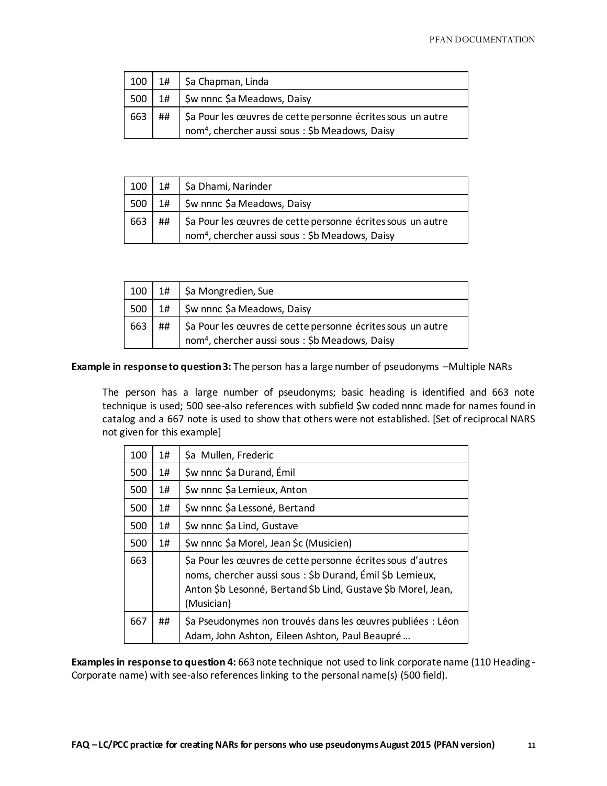|          | $100$   1#   \$a Chapman, Linda                             |
|----------|-------------------------------------------------------------|
| $500$ 1# | \$w nnnc \$a Meadows, Daisy                                 |
| 663 ##   | \$a Pour les œuvres de cette personne écrites sous un autre |
|          | nom <sup>4</sup> , chercher aussi sous: \$b Meadows, Daisy  |

|          |    | $100$   1#   \$a Dhami, Narinder                                      |
|----------|----|-----------------------------------------------------------------------|
| $500$ 1# |    | \$w nnnc \$a Meadows, Daisy                                           |
| 663      | ## | \$ \$ } \$ \$ pour les œuvres de cette personne écrites sous un autre |
|          |    | nom <sup>4</sup> , chercher aussi sous: \$b Meadows, Daisy            |

| 100 | 1#    | \$a Mongredien, Sue                                                                                                       |
|-----|-------|---------------------------------------------------------------------------------------------------------------------------|
| 500 | $1\#$ | \$w nnnc \$a Meadows, Daisy                                                                                               |
| 663 | ##    | \$a Pour les œuvres de cette personne écrites sous un autre<br>nom <sup>4</sup> , chercher aussi sous: \$b Meadows, Daisy |

**Example in response to question 3:** The person has a large number of pseudonyms –Multiple NARs

The person has a large number of pseudonyms; basic heading is identified and 663 note technique is used; 500 see-also references with subfield \$w coded nnnc made for names found in catalog and a 667 note is used to show that others were not established. [Set of reciprocal NARS not given for this example]

| 100 | 1#    | \$a Mullen, Frederic                                                                                                                                                                                   |
|-----|-------|--------------------------------------------------------------------------------------------------------------------------------------------------------------------------------------------------------|
| 500 | 1#    | \$w nnnc \$a Durand, Émil                                                                                                                                                                              |
| 500 | $1\#$ | \$w nnnc \$a Lemieux, Anton                                                                                                                                                                            |
| 500 | 1#    | \$w nnnc \$a Lessoné, Bertand                                                                                                                                                                          |
| 500 | 1#    | \$w nnnc \$a Lind, Gustave                                                                                                                                                                             |
| 500 | 1#    | \$w nnnc \$a Morel, Jean \$c (Musicien)                                                                                                                                                                |
| 663 |       | \$a Pour les œuvres de cette personne écrites sous d'autres<br>noms, chercher aussi sous: \$b Durand, Emil \$b Lemieux,<br>Anton \$b Lesonné, Bertand \$b Lind, Gustave \$b Morel, Jean,<br>(Musician) |
| 667 | ##    | \$a Pseudonymes non trouvés dans les œuvres publiées : Léon<br>Adam, John Ashton, Eileen Ashton, Paul Beaupré                                                                                          |

**Examples in response to question 4:** 663 note technique not used to link corporate name (110 Heading - Corporate name) with see-also references linking to the personal name(s) (500 field).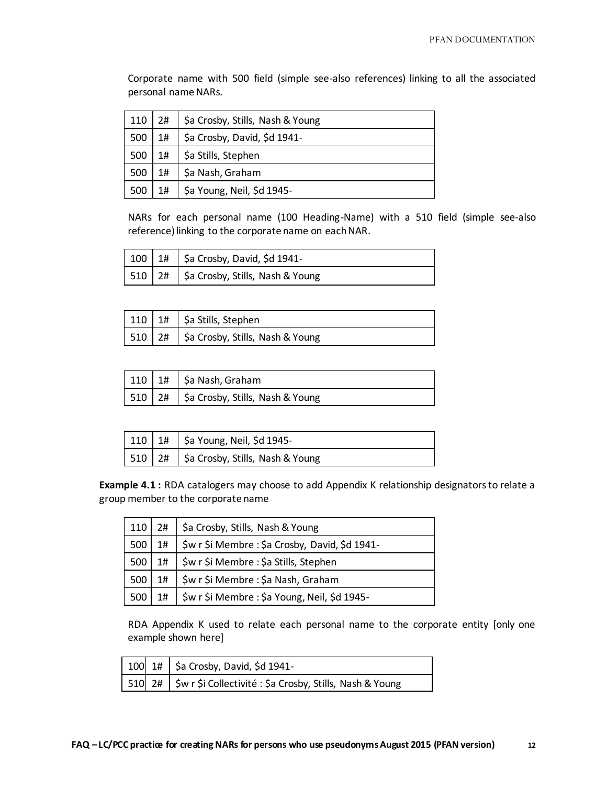Corporate name with 500 field (simple see-also references) linking to all the associated personal name NARs.

| 110 | 2#    | \$a Crosby, Stills, Nash & Young |
|-----|-------|----------------------------------|
| 500 | $1\#$ | \$a Crosby, David, \$d 1941-     |
| 500 | 1#    | \$a Stills, Stephen              |
| 500 | 1#    | \$a Nash, Graham                 |
| 500 | $1\#$ | \$a Young, Neil, \$d 1945-       |

NARs for each personal name (100 Heading-Name) with a 510 field (simple see-also reference) linking to the corporate name on each NAR.

|  | $100$   1#   \$a Crosby, David, \$d 1941-                 |
|--|-----------------------------------------------------------|
|  | $\sqrt{510}$ 2# $\sqrt{5}$ a Crosby, Stills, Nash & Young |

|  | 110   1#   \$a Stills, Stephen                                  |
|--|-----------------------------------------------------------------|
|  | $\vert$ 510 $\vert$ 2# $\vert$ \$a Crosby, Stills, Nash & Young |

|  | $110$   1#   \$a Nash, Graham                                   |
|--|-----------------------------------------------------------------|
|  | $\vert$ 510 $\vert$ 2# $\vert$ \$a Crosby, Stills, Nash & Young |

|  | $\mid$ 110 $\mid$ 1# $\mid$ \$a Young, Neil, \$d 1945- |
|--|--------------------------------------------------------|
|  | 510   2#   \$a Crosby, Stills, Nash & Young            |

**Example 4.1 :** RDA catalogers may choose to add Appendix K relationship designators to relate a group member to the corporate name

|                   |               | 110   2#   \$a Crosby, Stills, Nash & Young        |
|-------------------|---------------|----------------------------------------------------|
| 500               | $1\texttt{#}$ | \$w r \$i Membre : \$a Crosby, David, \$d 1941-    |
| 500               | $1\texttt{#}$ | \$w r \$i Membre : \$a Stills, Stephen             |
| 500               | 1#            | \$w r \$i Membre : \$a Nash, Graham                |
| 1500 <sub>1</sub> |               | 1#   \$w r \$i Membre : \$a Young, Neil, \$d 1945- |

RDA Appendix K used to relate each personal name to the corporate entity [only one example shown here]

|  | $\begin{array}{ c c c c c }\n\hline\n100 & 1\# & \text{Sa Crossy, David, $d$ 1941-\hline\n\end{array}$ |
|--|--------------------------------------------------------------------------------------------------------|
|  | 510 2#   \$w r \$i Collectivité : \$a Crosby, Stills, Nash & Young                                     |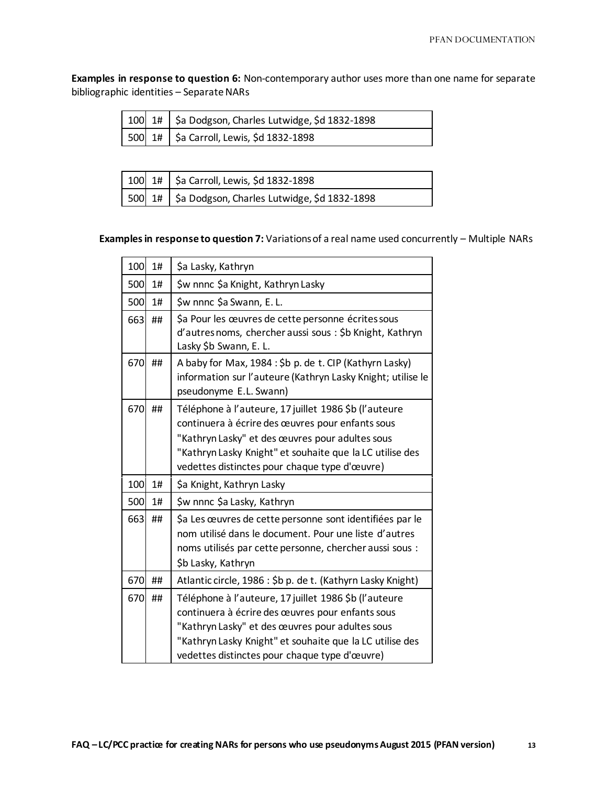**Examples in response to question 6:** Non-contemporary author uses more than one name for separate bibliographic identities – Separate NARs

|  | 100 1#   \$a Dodgson, Charles Lutwidge, \$d 1832-1898 |
|--|-------------------------------------------------------|
|  | . 500 1# Sa Carroll, Lewis, \$d 1832-1898             |

|  | 100 1#   \$a Carroll, Lewis, \$d 1832-1898          |
|--|-----------------------------------------------------|
|  | 500 1# \$a Dodgson, Charles Lutwidge, \$d 1832-1898 |

## **Examples in response to question 7:** Variations of a real name used concurrently – Multiple NARs

| 100 | 1# | \$a Lasky, Kathryn                                                                                                                                                                                                                                                        |
|-----|----|---------------------------------------------------------------------------------------------------------------------------------------------------------------------------------------------------------------------------------------------------------------------------|
| 500 | 1# | \$w nnnc \$a Knight, Kathryn Lasky                                                                                                                                                                                                                                        |
| 500 | 1# | \$w nnnc \$a Swann, E. L.                                                                                                                                                                                                                                                 |
| 663 | ## | \$a Pour les œuvres de cette personne écrites sous<br>d'autres noms, chercher aussi sous : \$b Knight, Kathryn<br>Lasky \$b Swann, E. L.                                                                                                                                  |
| 670 | ## | A baby for Max, 1984 : \$b p. de t. CIP (Kathyrn Lasky)<br>information sur l'auteure (Kathryn Lasky Knight; utilise le<br>pseudonyme E.L. Swann)                                                                                                                          |
| 670 | ## | Téléphone à l'auteure, 17 juillet 1986 \$b (l'auteure<br>continuera à écrire des œuvres pour enfants sous<br>"Kathryn Lasky" et des œuvres pour adultes sous<br>"Kathryn Lasky Knight" et souhaite que la LC utilise des<br>vedettes distinctes pour chaque type d'œuvre) |
| 100 | 1# | \$a Knight, Kathryn Lasky                                                                                                                                                                                                                                                 |
| 500 | 1# | \$w nnnc \$a Lasky, Kathryn                                                                                                                                                                                                                                               |
| 663 | ## | \$a Les œuvres de cette personne sont identifiées par le<br>nom utilisé dans le document. Pour une liste d'autres<br>noms utilisés par cette personne, chercher aussi sous :<br>\$b Lasky, Kathryn                                                                        |
| 670 | ## | Atlantic circle, 1986 : \$b p. de t. (Kathyrn Lasky Knight)                                                                                                                                                                                                               |
| 670 | ## | Téléphone à l'auteure, 17 juillet 1986 \$b (l'auteure<br>continuera à écrire des œuvres pour enfants sous<br>"Kathryn Lasky" et des œuvres pour adultes sous<br>"Kathryn Lasky Knight" et souhaite que la LC utilise des<br>vedettes distinctes pour chaque type d'œuvre) |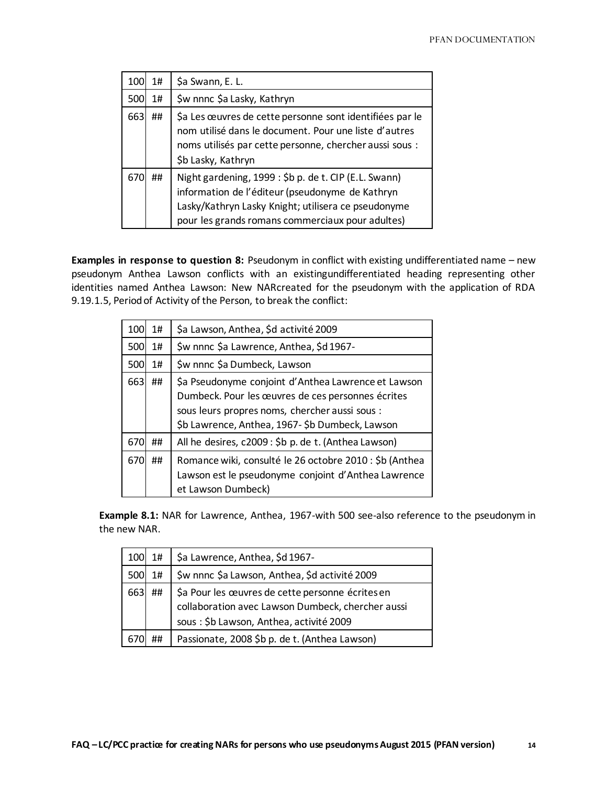| 100 | 1# | \$a Swann, E. L.                                                                                                                                                                                                    |
|-----|----|---------------------------------------------------------------------------------------------------------------------------------------------------------------------------------------------------------------------|
| 500 | 1# | \$w nnnc \$a Lasky, Kathryn                                                                                                                                                                                         |
| 663 | ## | \$a Les œuvres de cette personne sont identifiées par le<br>nom utilisé dans le document. Pour une liste d'autres<br>noms utilisés par cette personne, chercher aussi sous :<br>\$b Lasky, Kathryn                  |
| 670 | ## | Night gardening, 1999 : \$b p. de t. CIP (E.L. Swann)<br>information de l'éditeur (pseudonyme de Kathryn<br>Lasky/Kathryn Lasky Knight; utilisera ce pseudonyme<br>pour les grands romans commerciaux pour adultes) |

**Examples in response to question 8:** Pseudonym in conflict with existing undifferentiated name – new pseudonym Anthea Lawson conflicts with an existingundifferentiated heading representing other identities named Anthea Lawson: New NARcreated for the pseudonym with the application of RDA 9.19.1.5, Period of Activity of the Person, to break the conflict:

| 100        | 1#    | \$a Lawson, Anthea, \$d activité 2009                                                                                                                                                                        |
|------------|-------|--------------------------------------------------------------------------------------------------------------------------------------------------------------------------------------------------------------|
| <b>500</b> | $1\#$ | \$w nnnc \$a Lawrence, Anthea, \$d 1967-                                                                                                                                                                     |
| 500        | 1#    | \$w nnnc \$a Dumbeck, Lawson                                                                                                                                                                                 |
| 663        | ##    | \$a Pseudonyme conjoint d'Anthea Lawrence et Lawson<br>Dumbeck. Pour les œuvres de ces personnes écrites<br>sous leurs propres noms, chercher aussi sous :<br>\$b Lawrence, Anthea, 1967-\$b Dumbeck, Lawson |
| 670        | ##    | All he desires, c2009 : \$b p. de t. (Anthea Lawson)                                                                                                                                                         |
| 670        | ##    | Romance wiki, consulté le 26 octobre 2010 : \$b (Anthea<br>Lawson est le pseudonyme conjoint d'Anthea Lawrence<br>et Lawson Dumbeck)                                                                         |

**Example 8.1:** NAR for Lawrence, Anthea, 1967-with 500 see-also reference to the pseudonym in the new NAR.

| 100 | $1\#$ | \$a Lawrence, Anthea, \$d 1967-                                                                                                                   |
|-----|-------|---------------------------------------------------------------------------------------------------------------------------------------------------|
| 500 | $1\#$ | \$w nnnc \$a Lawson, Anthea, \$d activité 2009                                                                                                    |
| 663 | ##    | \$a Pour les œuvres de cette personne écrites en<br>collaboration avec Lawson Dumbeck, chercher aussi<br>sous : \$b Lawson, Anthea, activité 2009 |
|     | ##    | Passionate, 2008 \$b p. de t. (Anthea Lawson)                                                                                                     |